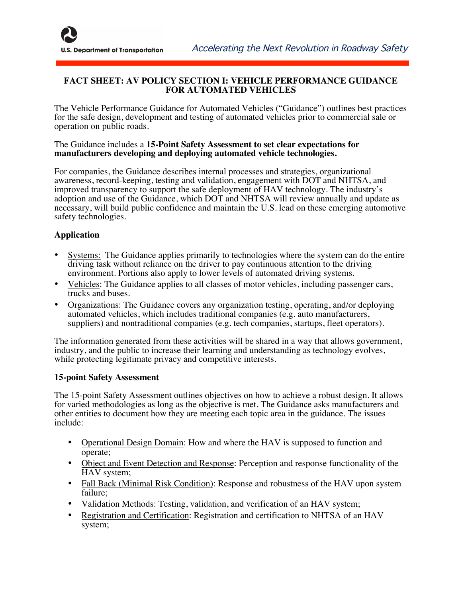## **FACT SHEET: AV POLICY SECTION I: VEHICLE PERFORMANCE GUIDANCE FOR AUTOMATED VEHICLES**

The Vehicle Performance Guidance for Automated Vehicles ("Guidance") outlines best practices for the safe design, development and testing of automated vehicles prior to commercial sale or operation on public roads.

## The Guidance includes a **15-Point Safety Assessment to set clear expectations for manufacturers developing and deploying automated vehicle technologies.**

For companies, the Guidance describes internal processes and strategies, organizational awareness, record-keeping, testing and validation, engagement with DOT and NHTSA, and improved transparency to support the safe deployment of HAV technology. The industry's adoption and use of the Guidance, which DOT and NHTSA will review annually and update as necessary, will build public confidence and maintain the U.S. lead on these emerging automotive safety technologies.

## **Application**

- Systems: The Guidance applies primarily to technologies where the system can do the entire driving task without reliance on the driver to pay continuous attention to the driving environment. Portions also apply to lower levels of automated driving systems.
- Vehicles: The Guidance applies to all classes of motor vehicles, including passenger cars, trucks and buses.
- Organizations: The Guidance covers any organization testing, operating, and/or deploying automated vehicles, which includes traditional companies (e.g. auto manufacturers, suppliers) and nontraditional companies (e.g. tech companies, startups, fleet operators).

The information generated from these activities will be shared in a way that allows government, industry, and the public to increase their learning and understanding as technology evolves, while protecting legitimate privacy and competitive interests.

## **15-point Safety Assessment**

The 15-point Safety Assessment outlines objectives on how to achieve a robust design. It allows for varied methodologies as long as the objective is met. The Guidance asks manufacturers and other entities to document how they are meeting each topic area in the guidance. The issues include:

- Operational Design Domain: How and where the HAV is supposed to function and operate;
- Object and Event Detection and Response: Perception and response functionality of the HAV system;
- Fall Back (Minimal Risk Condition): Response and robustness of the HAV upon system failure;
- Validation Methods: Testing, validation, and verification of an HAV system;
- Registration and Certification: Registration and certification to NHTSA of an HAV system;